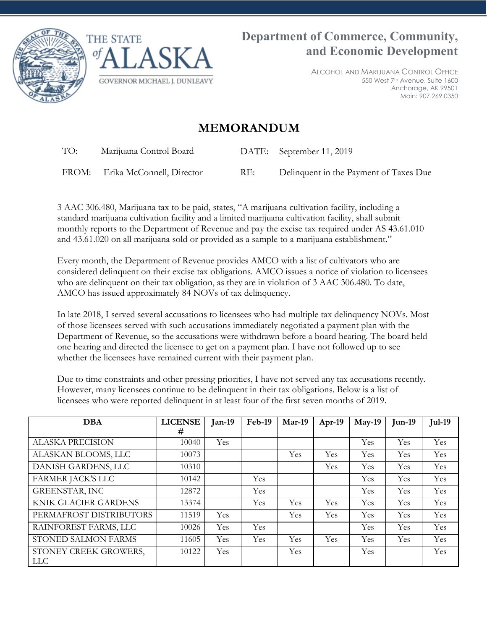



ALCOHOL AND MARIJUANA CONTROL OFFICE 550 West 7th Avenue, Suite 1600 Anchorage, AK 99501 Main: 907.269.0350

## **MEMORANDUM**

TO: Marijuana Control Board DATE: September 11, 2019

FROM: Erika McConnell, Director RE: Delinquent in the Payment of Taxes Due

3 AAC 306.480, Marijuana tax to be paid, states, "A marijuana cultivation facility, including a standard marijuana cultivation facility and a limited marijuana cultivation facility, shall submit monthly reports to the Department of Revenue and pay the excise tax required under AS 43.61.010 and 43.61.020 on all marijuana sold or provided as a sample to a marijuana establishment."

Every month, the Department of Revenue provides AMCO with a list of cultivators who are considered delinquent on their excise tax obligations. AMCO issues a notice of violation to licensees who are delinquent on their tax obligation, as they are in violation of 3 AAC 306.480. To date, AMCO has issued approximately 84 NOVs of tax delinquency.

In late 2018, I served several accusations to licensees who had multiple tax delinquency NOVs. Most of those licensees served with such accusations immediately negotiated a payment plan with the Department of Revenue, so the accusations were withdrawn before a board hearing. The board held one hearing and directed the licensee to get on a payment plan. I have not followed up to see whether the licensees have remained current with their payment plan.

Due to time constraints and other pressing priorities, I have not served any tax accusations recently. However, many licensees continue to be delinquent in their tax obligations. Below is a list of licensees who were reported delinquent in at least four of the first seven months of 2019.

| <b>DBA</b>                          | <b>LICENSE</b> | $Jan-19$ | Feb-19 | $Mar-19$   | $Apr-19$ | $May-19$ | $Jun-19$ | <b>Jul-19</b> |
|-------------------------------------|----------------|----------|--------|------------|----------|----------|----------|---------------|
|                                     | #              |          |        |            |          |          |          |               |
| <b>ALASKA PRECISION</b>             | 10040          | Yes      |        |            |          | Yes      | Yes      | Yes           |
| ALASKAN BLOOMS, LLC                 | 10073          |          |        | Yes        | Yes      | Yes      | Yes      | Yes           |
| DANISH GARDENS, LLC                 | 10310          |          |        |            | Yes      | Yes      | Yes      | Yes           |
| <b>FARMER JACK'S LLC</b>            | 10142          |          | Yes    |            |          | Yes      | Yes      | Yes           |
| <b>GREENSTAR, INC</b>               | 12872          |          | Yes    |            |          | Yes      | Yes      | Yes           |
| <b>KNIK GLACIER GARDENS</b>         | 13374          |          | Yes    | Yes        | Yes      | Yes      | Yes      | Yes           |
| PERMAFROST DISTRIBUTORS             | 11519          | Yes      |        | Yes        | Yes      | Yes      | Yes      | Yes           |
| RAINFOREST FARMS, LLC               | 10026          | Yes      | Yes    |            |          | Yes      | Yes      | Yes           |
| STONED SALMON FARMS                 | 11605          | Yes      | Yes    | <b>Yes</b> | Yes      | Yes      | Yes      | Yes           |
| STONEY CREEK GROWERS,<br><b>LLC</b> | 10122          | Yes      |        | <b>Yes</b> |          | Yes      |          | Yes           |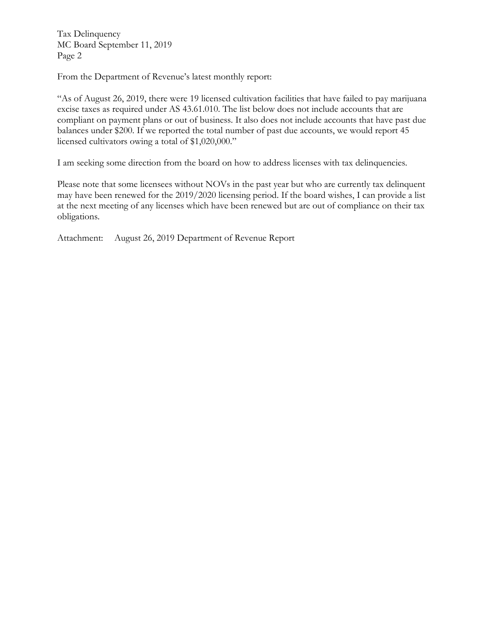Tax Delinquency MC Board September 11, 2019 Page 2

From the Department of Revenue's latest monthly report:

"As of August 26, 2019, there were 19 licensed cultivation facilities that have failed to pay marijuana excise taxes as required under AS 43.61.010. The list below does not include accounts that are compliant on payment plans or out of business. It also does not include accounts that have past due balances under \$200. If we reported the total number of past due accounts, we would report 45 licensed cultivators owing a total of \$1,020,000."

I am seeking some direction from the board on how to address licenses with tax delinquencies.

Please note that some licensees without NOVs in the past year but who are currently tax delinquent may have been renewed for the 2019/2020 licensing period. If the board wishes, I can provide a list at the next meeting of any licenses which have been renewed but are out of compliance on their tax obligations.

Attachment: August 26, 2019 Department of Revenue Report